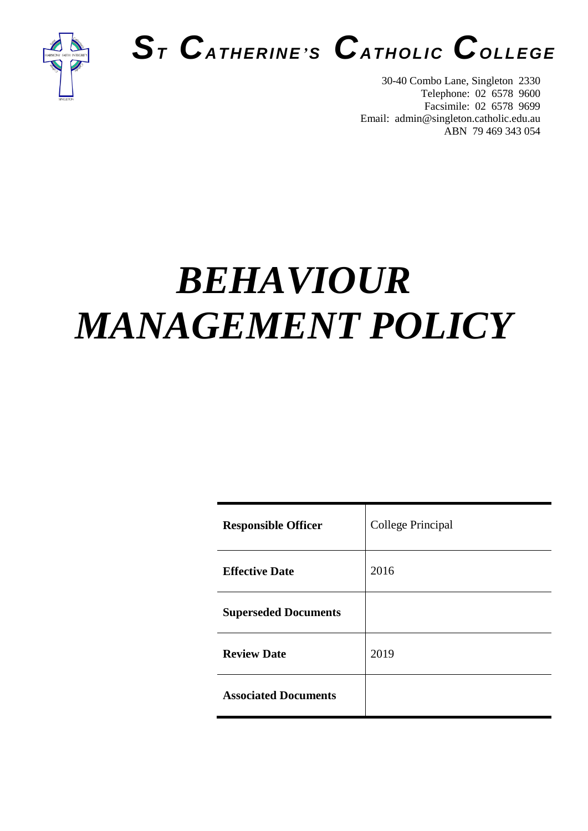

## *S<sup>T</sup> CATHERINE'<sup>S</sup> CATHOLIC COLLEGE*

30-40 Combo Lane, Singleton 2330 Telephone: 02 6578 9600 Facsimile: 02 6578 9699 Email: admin@singleton.catholic.edu.au ABN 79 469 343 054

# *BEHAVIOUR MANAGEMENT POLICY*

| <b>Responsible Officer</b>  | College Principal |
|-----------------------------|-------------------|
| <b>Effective Date</b>       | 2016              |
| <b>Superseded Documents</b> |                   |
| <b>Review Date</b>          | 2019              |
| <b>Associated Documents</b> |                   |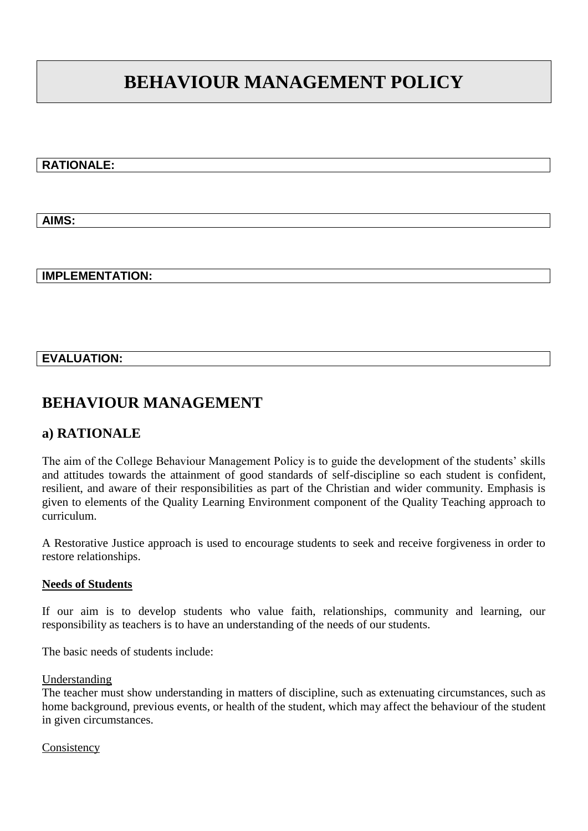## **BEHAVIOUR MANAGEMENT POLICY**

## **RATIONALE:**

**AIMS:**

### **IMPLEMENTATION:**

### **EVALUATION:**

## **BEHAVIOUR MANAGEMENT**

## **a) RATIONALE**

The aim of the College Behaviour Management Policy is to guide the development of the students' skills and attitudes towards the attainment of good standards of self-discipline so each student is confident, resilient, and aware of their responsibilities as part of the Christian and wider community. Emphasis is given to elements of the Quality Learning Environment component of the Quality Teaching approach to curriculum.

A Restorative Justice approach is used to encourage students to seek and receive forgiveness in order to restore relationships.

#### **Needs of Students**

If our aim is to develop students who value faith, relationships, community and learning, our responsibility as teachers is to have an understanding of the needs of our students.

The basic needs of students include:

#### Understanding

The teacher must show understanding in matters of discipline, such as extenuating circumstances, such as home background, previous events, or health of the student, which may affect the behaviour of the student in given circumstances.

Consistency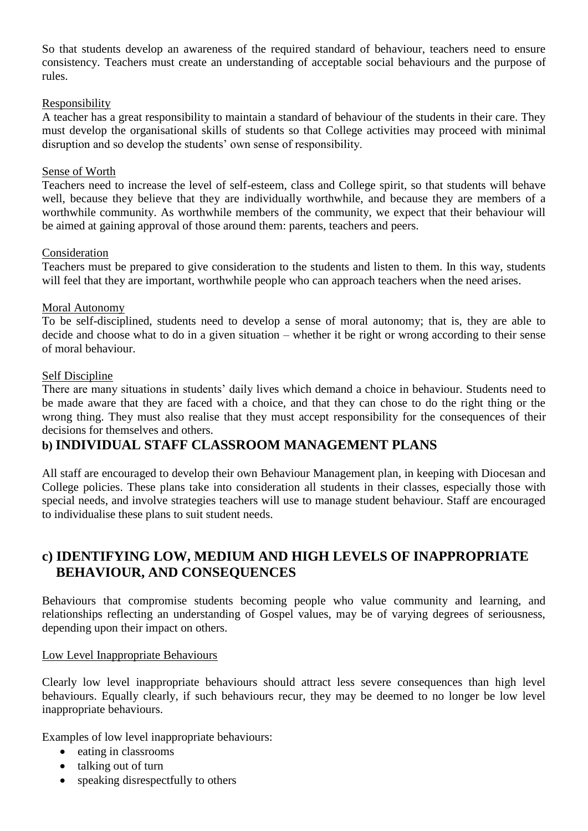So that students develop an awareness of the required standard of behaviour, teachers need to ensure consistency. Teachers must create an understanding of acceptable social behaviours and the purpose of rules.

#### Responsibility

A teacher has a great responsibility to maintain a standard of behaviour of the students in their care. They must develop the organisational skills of students so that College activities may proceed with minimal disruption and so develop the students' own sense of responsibility.

#### Sense of Worth

Teachers need to increase the level of self-esteem, class and College spirit, so that students will behave well, because they believe that they are individually worthwhile, and because they are members of a worthwhile community. As worthwhile members of the community, we expect that their behaviour will be aimed at gaining approval of those around them: parents, teachers and peers.

#### Consideration

Teachers must be prepared to give consideration to the students and listen to them. In this way, students will feel that they are important, worthwhile people who can approach teachers when the need arises.

#### Moral Autonomy

To be self-disciplined, students need to develop a sense of moral autonomy; that is, they are able to decide and choose what to do in a given situation – whether it be right or wrong according to their sense of moral behaviour.

#### Self Discipline

There are many situations in students' daily lives which demand a choice in behaviour. Students need to be made aware that they are faced with a choice, and that they can chose to do the right thing or the wrong thing. They must also realise that they must accept responsibility for the consequences of their decisions for themselves and others.

## **b) INDIVIDUAL STAFF CLASSROOM MANAGEMENT PLANS**

All staff are encouraged to develop their own Behaviour Management plan, in keeping with Diocesan and College policies. These plans take into consideration all students in their classes, especially those with special needs, and involve strategies teachers will use to manage student behaviour. Staff are encouraged to individualise these plans to suit student needs.

## **c) IDENTIFYING LOW, MEDIUM AND HIGH LEVELS OF INAPPROPRIATE BEHAVIOUR, AND CONSEQUENCES**

Behaviours that compromise students becoming people who value community and learning, and relationships reflecting an understanding of Gospel values, may be of varying degrees of seriousness, depending upon their impact on others.

#### Low Level Inappropriate Behaviours

Clearly low level inappropriate behaviours should attract less severe consequences than high level behaviours. Equally clearly, if such behaviours recur, they may be deemed to no longer be low level inappropriate behaviours.

Examples of low level inappropriate behaviours:

- eating in classrooms
- talking out of turn
- speaking disrespectfully to others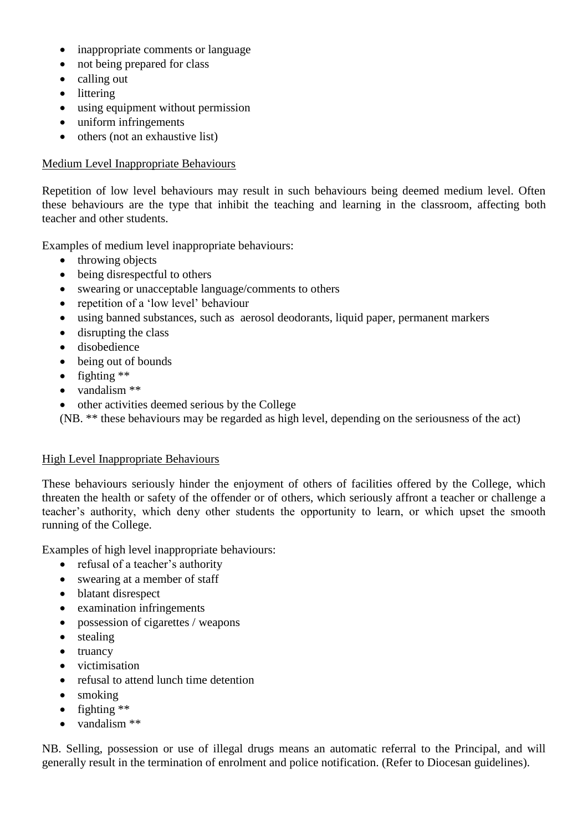- inappropriate comments or language
- not being prepared for class
- calling out
- littering
- using equipment without permission
- uniform infringements
- $\bullet$  others (not an exhaustive list)

## Medium Level Inappropriate Behaviours

Repetition of low level behaviours may result in such behaviours being deemed medium level. Often these behaviours are the type that inhibit the teaching and learning in the classroom, affecting both teacher and other students.

Examples of medium level inappropriate behaviours:

- $\bullet$  throwing objects
- being disrespectful to others
- swearing or unacceptable language/comments to others
- repetition of a 'low level' behaviour
- using banned substances, such as aerosol deodorants, liquid paper, permanent markers
- disrupting the class
- disobedience
- being out of bounds
- $\bullet$  fighting \*\*
- vandalism \*\*
- other activities deemed serious by the College

(NB. \*\* these behaviours may be regarded as high level, depending on the seriousness of the act)

## High Level Inappropriate Behaviours

These behaviours seriously hinder the enjoyment of others of facilities offered by the College, which threaten the health or safety of the offender or of others, which seriously affront a teacher or challenge a teacher's authority, which deny other students the opportunity to learn, or which upset the smooth running of the College.

Examples of high level inappropriate behaviours:

- refusal of a teacher's authority
- swearing at a member of staff
- blatant disrespect
- examination infringements
- possession of cigarettes / weapons
- stealing
- truancy
- victimisation
- refusal to attend lunch time detention
- smoking
- $\bullet$  fighting \*\*
- vandalism \*\*

NB. Selling, possession or use of illegal drugs means an automatic referral to the Principal, and will generally result in the termination of enrolment and police notification. (Refer to Diocesan guidelines).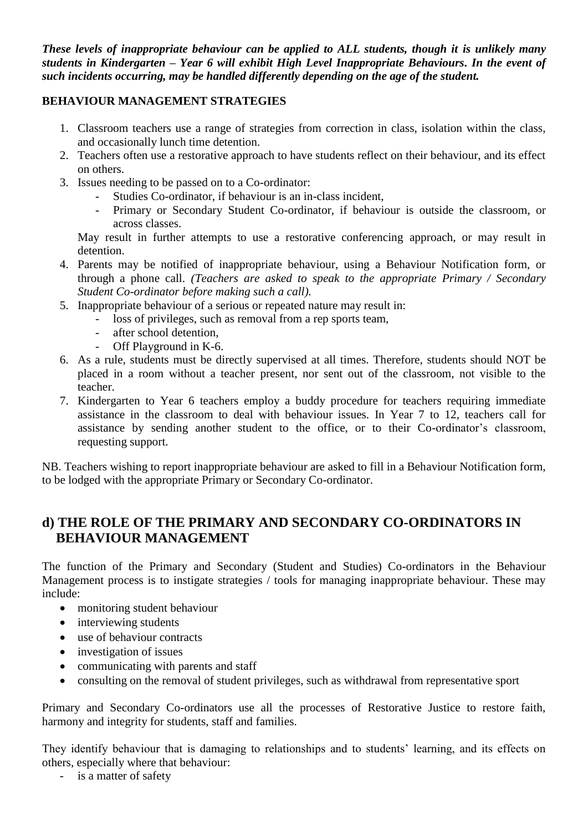*These levels of inappropriate behaviour can be applied to ALL students, though it is unlikely many students in Kindergarten – Year 6 will exhibit High Level Inappropriate Behaviours. In the event of such incidents occurring, may be handled differently depending on the age of the student.*

## **BEHAVIOUR MANAGEMENT STRATEGIES**

- 1. Classroom teachers use a range of strategies from correction in class, isolation within the class, and occasionally lunch time detention.
- 2. Teachers often use a restorative approach to have students reflect on their behaviour, and its effect on others.
- 3. Issues needing to be passed on to a Co-ordinator:
	- Studies Co-ordinator, if behaviour is an in-class incident,
	- Primary or Secondary Student Co-ordinator, if behaviour is outside the classroom, or across classes.

May result in further attempts to use a restorative conferencing approach, or may result in detention.

- 4. Parents may be notified of inappropriate behaviour, using a Behaviour Notification form, or through a phone call. *(Teachers are asked to speak to the appropriate Primary / Secondary Student Co-ordinator before making such a call).*
- 5. Inappropriate behaviour of a serious or repeated nature may result in:
	- loss of privileges, such as removal from a rep sports team,
	- after school detention,
	- Off Playground in K-6.
- 6. As a rule, students must be directly supervised at all times. Therefore, students should NOT be placed in a room without a teacher present, nor sent out of the classroom, not visible to the teacher.
- 7. Kindergarten to Year 6 teachers employ a buddy procedure for teachers requiring immediate assistance in the classroom to deal with behaviour issues. In Year 7 to 12, teachers call for assistance by sending another student to the office, or to their Co-ordinator's classroom, requesting support.

NB. Teachers wishing to report inappropriate behaviour are asked to fill in a Behaviour Notification form, to be lodged with the appropriate Primary or Secondary Co-ordinator.

## **d) THE ROLE OF THE PRIMARY AND SECONDARY CO-ORDINATORS IN BEHAVIOUR MANAGEMENT**

The function of the Primary and Secondary (Student and Studies) Co-ordinators in the Behaviour Management process is to instigate strategies / tools for managing inappropriate behaviour. These may include:

- monitoring student behaviour
- interviewing students
- use of behaviour contracts
- investigation of issues
- communicating with parents and staff
- consulting on the removal of student privileges, such as withdrawal from representative sport

Primary and Secondary Co-ordinators use all the processes of Restorative Justice to restore faith, harmony and integrity for students, staff and families.

They identify behaviour that is damaging to relationships and to students' learning, and its effects on others, especially where that behaviour:

- is a matter of safety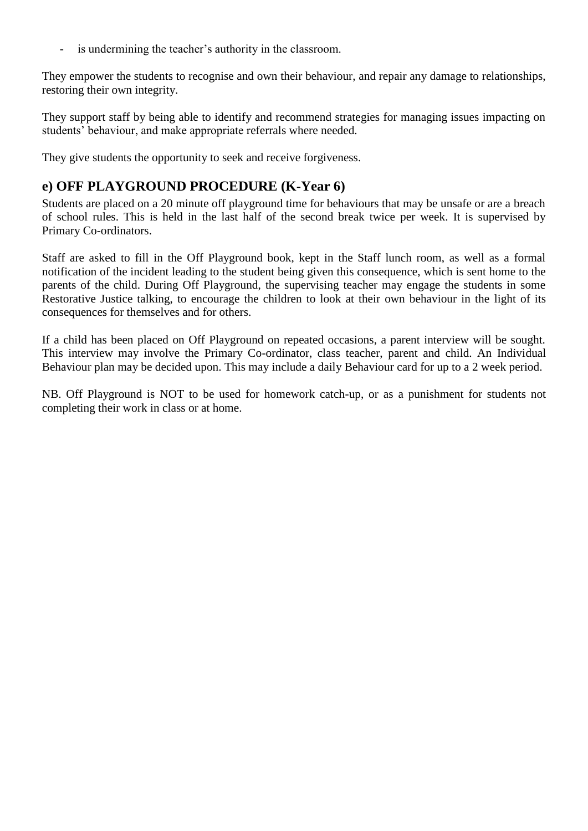- is undermining the teacher's authority in the classroom.

They empower the students to recognise and own their behaviour, and repair any damage to relationships, restoring their own integrity.

They support staff by being able to identify and recommend strategies for managing issues impacting on students' behaviour, and make appropriate referrals where needed.

They give students the opportunity to seek and receive forgiveness.

## **e) OFF PLAYGROUND PROCEDURE (K-Year 6)**

Students are placed on a 20 minute off playground time for behaviours that may be unsafe or are a breach of school rules. This is held in the last half of the second break twice per week. It is supervised by Primary Co-ordinators.

Staff are asked to fill in the Off Playground book, kept in the Staff lunch room, as well as a formal notification of the incident leading to the student being given this consequence, which is sent home to the parents of the child. During Off Playground, the supervising teacher may engage the students in some Restorative Justice talking, to encourage the children to look at their own behaviour in the light of its consequences for themselves and for others.

If a child has been placed on Off Playground on repeated occasions, a parent interview will be sought. This interview may involve the Primary Co-ordinator, class teacher, parent and child. An Individual Behaviour plan may be decided upon. This may include a daily Behaviour card for up to a 2 week period.

NB. Off Playground is NOT to be used for homework catch-up, or as a punishment for students not completing their work in class or at home.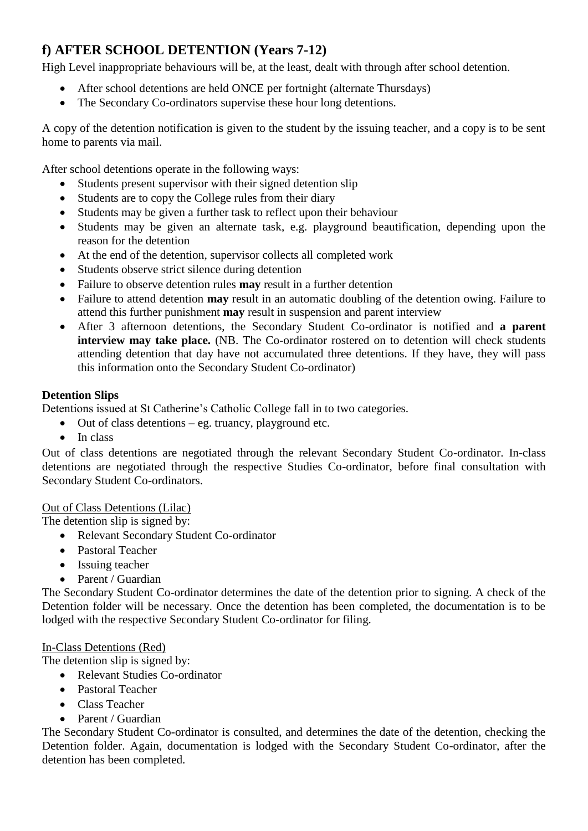## **f) AFTER SCHOOL DETENTION (Years 7-12)**

High Level inappropriate behaviours will be, at the least, dealt with through after school detention.

- After school detentions are held ONCE per fortnight (alternate Thursdays)
- The Secondary Co-ordinators supervise these hour long detentions.

A copy of the detention notification is given to the student by the issuing teacher, and a copy is to be sent home to parents via mail.

After school detentions operate in the following ways:

- Students present supervisor with their signed detention slip
- Students are to copy the College rules from their diary
- Students may be given a further task to reflect upon their behaviour
- Students may be given an alternate task, e.g. playground beautification, depending upon the reason for the detention
- At the end of the detention, supervisor collects all completed work
- Students observe strict silence during detention
- Failure to observe detention rules **may** result in a further detention
- Failure to attend detention **may** result in an automatic doubling of the detention owing. Failure to attend this further punishment **may** result in suspension and parent interview
- After 3 afternoon detentions, the Secondary Student Co-ordinator is notified and **a parent interview may take place.** (NB. The Co-ordinator rostered on to detention will check students attending detention that day have not accumulated three detentions. If they have, they will pass this information onto the Secondary Student Co-ordinator)

## **Detention Slips**

Detentions issued at St Catherine's Catholic College fall in to two categories.

- $\bullet$  Out of class detentions eg. truancy, playground etc.
- $\bullet$  In class

Out of class detentions are negotiated through the relevant Secondary Student Co-ordinator. In-class detentions are negotiated through the respective Studies Co-ordinator, before final consultation with Secondary Student Co-ordinators.

## Out of Class Detentions (Lilac)

The detention slip is signed by:

- Relevant Secondary Student Co-ordinator
- Pastoral Teacher
- Issuing teacher
- Parent / Guardian

The Secondary Student Co-ordinator determines the date of the detention prior to signing. A check of the Detention folder will be necessary. Once the detention has been completed, the documentation is to be lodged with the respective Secondary Student Co-ordinator for filing.

## In-Class Detentions (Red)

The detention slip is signed by:

- Relevant Studies Co-ordinator
- Pastoral Teacher
- Class Teacher
- Parent / Guardian

The Secondary Student Co-ordinator is consulted, and determines the date of the detention, checking the Detention folder. Again, documentation is lodged with the Secondary Student Co-ordinator, after the detention has been completed.